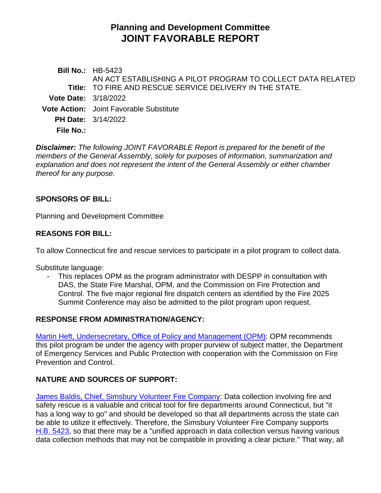# **Planning and Development Committee JOINT FAVORABLE REPORT**

**Bill No.:** HB-5423 **Title:** TO FIRE AND RESCUE SERVICE DELIVERY IN THE STATE. AN ACT ESTABLISHING A PILOT PROGRAM TO COLLECT DATA RELATED **Vote Date:** 3/18/2022 **Vote Action:** Joint Favorable Substitute **PH Date:** 3/14/2022 **File No.:**

*Disclaimer: The following JOINT FAVORABLE Report is prepared for the benefit of the members of the General Assembly, solely for purposes of information, summarization and explanation and does not represent the intent of the General Assembly or either chamber thereof for any purpose.*

#### **SPONSORS OF BILL:**

Planning and Development Committee

### **REASONS FOR BILL:**

To allow Connecticut fire and rescue services to participate in a pilot program to collect data.

Substitute language:

This replaces OPM as the program administrator with DESPP in consultation with DAS, the State Fire Marshal, OPM, and the Commission on Fire Protection and Control. The five major regional fire dispatch centers as identified by the Fire 2025 Summit Conference may also be admitted to the pilot program upon request.

#### **RESPONSE FROM ADMINISTRATION/AGENCY:**

[Martin Heft, Undersecretary, Office of Policy and Management \(OPM\):](https://www.cga.ct.gov/2022/pddata/tmy/2022HB-05423-R000314-Heft,%20Martin,%20Undersecretary-Office%20of%20Policy%20and%20Management-Comments-TMY.PDF) OPM recommends this pilot program be under the agency with proper purview of subject matter, the Department of Emergency Services and Public Protection with cooperation with the Commission on Fire Prevention and Control.

## **NATURE AND SOURCES OF SUPPORT:**

[James Baldis, Chief, Simsbury Volunteer Fire Company:](https://www.cga.ct.gov/2022/pddata/tmy/2022HB-05423-R000314-Baldis,%20James,%20Fire%20Chief-Simsbury%20Volunteer%20Fire%20Company-Support-TMY.PDF) Data collection involving fire and safety rescue is a valuable and critical tool for fire departments around Connecticut, but "it has a long way to go" and should be developed so that all departments across the state can be able to utilize it effectively. Therefore, the Simsbury Volunteer Fire Company supports [H.B. 5423,](https://www.cga.ct.gov/2022/TOB/H/PDF/2022HB-05423-R00-HB.PDF) so that there may be a "unified approach in data collection versus having various data collection methods that may not be compatible in providing a clear picture." That way, all